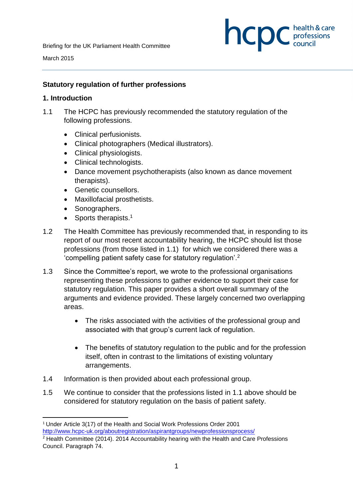

March 2015

**.** 

#### **Statutory regulation of further professions**

#### **1. Introduction**

- 1.1 The HCPC has previously recommended the statutory regulation of the following professions.
	- Clinical perfusionists.
	- Clinical photographers (Medical illustrators).
	- Clinical physiologists.
	- Clinical technologists.
	- Dance movement psychotherapists (also known as dance movement therapists).
	- Genetic counsellors.
	- Maxillofacial prosthetists.
	- Sonographers.
	- Sports therapists.<sup>1</sup>
- 1.2 The Health Committee has previously recommended that, in responding to its report of our most recent accountability hearing, the HCPC should list those professions (from those listed in 1.1) for which we considered there was a 'compelling patient safety case for statutory regulation'.<sup>2</sup>
- 1.3 Since the Committee's report, we wrote to the professional organisations representing these professions to gather evidence to support their case for statutory regulation. This paper provides a short overall summary of the arguments and evidence provided. These largely concerned two overlapping areas.
	- The risks associated with the activities of the professional group and associated with that group's current lack of regulation.
	- The benefits of statutory regulation to the public and for the profession itself, often in contrast to the limitations of existing voluntary arrangements.
- 1.4 Information is then provided about each professional group.
- 1.5 We continue to consider that the professions listed in 1.1 above should be considered for statutory regulation on the basis of patient safety.

<sup>1</sup> Under Article 3(17) of the Health and Social Work Professions Order 2001 http://www.hcpc-uk.org/aboutregistration/aspirantgroups/newprofessionsprocess/

 $2$  Health Committee (2014). 2014 Accountability hearing with the Health and Care Professions Council. Paragraph 74.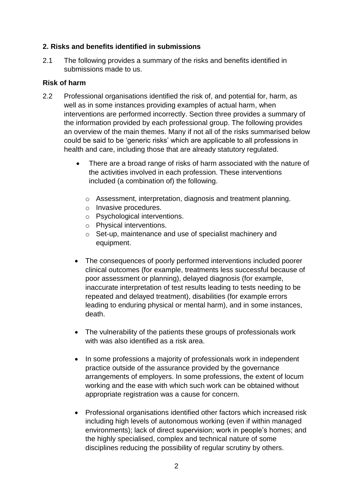# **2. Risks and benefits identified in submissions**

2.1 The following provides a summary of the risks and benefits identified in submissions made to us.

#### **Risk of harm**

- 2.2 Professional organisations identified the risk of, and potential for, harm, as well as in some instances providing examples of actual harm, when interventions are performed incorrectly. Section three provides a summary of the information provided by each professional group. The following provides an overview of the main themes. Many if not all of the risks summarised below could be said to be 'generic risks' which are applicable to all professions in health and care, including those that are already statutory regulated.
	- There are a broad range of risks of harm associated with the nature of the activities involved in each profession. These interventions included (a combination of) the following.
		- o Assessment, interpretation, diagnosis and treatment planning.
		- o Invasive procedures.
		- o Psychological interventions.
		- o Physical interventions.
		- o Set-up, maintenance and use of specialist machinery and equipment.
	- The consequences of poorly performed interventions included poorer clinical outcomes (for example, treatments less successful because of poor assessment or planning), delayed diagnosis (for example, inaccurate interpretation of test results leading to tests needing to be repeated and delayed treatment), disabilities (for example errors leading to enduring physical or mental harm), and in some instances, death.
	- The vulnerability of the patients these groups of professionals work with was also identified as a risk area.
	- In some professions a majority of professionals work in independent practice outside of the assurance provided by the governance arrangements of employers. In some professions, the extent of locum working and the ease with which such work can be obtained without appropriate registration was a cause for concern.
	- Professional organisations identified other factors which increased risk including high levels of autonomous working (even if within managed environments); lack of direct supervision; work in people's homes; and the highly specialised, complex and technical nature of some disciplines reducing the possibility of regular scrutiny by others.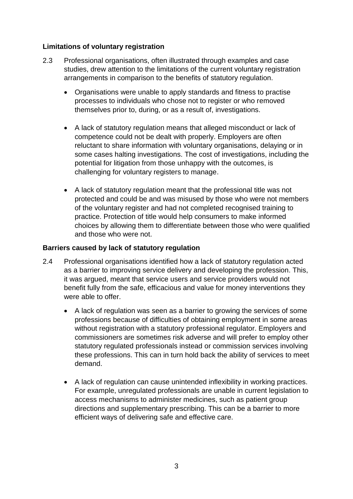## **Limitations of voluntary registration**

- 2.3 Professional organisations, often illustrated through examples and case studies, drew attention to the limitations of the current voluntary registration arrangements in comparison to the benefits of statutory regulation.
	- Organisations were unable to apply standards and fitness to practise processes to individuals who chose not to register or who removed themselves prior to, during, or as a result of, investigations.
	- A lack of statutory regulation means that alleged misconduct or lack of competence could not be dealt with properly. Employers are often reluctant to share information with voluntary organisations, delaying or in some cases halting investigations. The cost of investigations, including the potential for litigation from those unhappy with the outcomes, is challenging for voluntary registers to manage.
	- A lack of statutory regulation meant that the professional title was not protected and could be and was misused by those who were not members of the voluntary register and had not completed recognised training to practice. Protection of title would help consumers to make informed choices by allowing them to differentiate between those who were qualified and those who were not.

## **Barriers caused by lack of statutory regulation**

- 2.4 Professional organisations identified how a lack of statutory regulation acted as a barrier to improving service delivery and developing the profession. This, it was argued, meant that service users and service providers would not benefit fully from the safe, efficacious and value for money interventions they were able to offer.
	- A lack of regulation was seen as a barrier to growing the services of some professions because of difficulties of obtaining employment in some areas without registration with a statutory professional regulator. Employers and commissioners are sometimes risk adverse and will prefer to employ other statutory regulated professionals instead or commission services involving these professions. This can in turn hold back the ability of services to meet demand.
	- A lack of regulation can cause unintended inflexibility in working practices. For example, unregulated professionals are unable in current legislation to access mechanisms to administer medicines, such as patient group directions and supplementary prescribing. This can be a barrier to more efficient ways of delivering safe and effective care.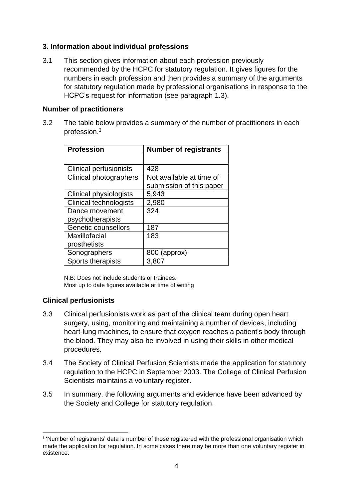# **3. Information about individual professions**

3.1 This section gives information about each profession previously recommended by the HCPC for statutory regulation. It gives figures for the numbers in each profession and then provides a summary of the arguments for statutory regulation made by professional organisations in response to the HCPC's request for information (see paragraph 1.3).

## **Number of practitioners**

3.2 The table below provides a summary of the number of practitioners in each profession. 3

| <b>Profession</b>             | <b>Number of registrants</b> |
|-------------------------------|------------------------------|
|                               |                              |
| <b>Clinical perfusionists</b> | 428                          |
| Clinical photographers        | Not available at time of     |
|                               | submission of this paper     |
| Clinical physiologists        | 5,943                        |
| <b>Clinical technologists</b> | 2,980                        |
| Dance movement                | 324                          |
| psychotherapists              |                              |
| <b>Genetic counsellors</b>    | 187                          |
| Maxillofacial                 | 183                          |
| prosthetists                  |                              |
| Sonographers                  | 800 (approx)                 |
| Sports therapists             | 3,807                        |

N.B: Does not include students or trainees. Most up to date figures available at time of writing

# **Clinical perfusionists**

- 3.3 Clinical perfusionists work as part of the clinical team during open heart surgery, using, monitoring and maintaining a number of devices, including heart-lung machines, to ensure that oxygen reaches a patient's body through the blood. They may also be involved in using their skills in other medical procedures.
- 3.4 The Society of Clinical Perfusion Scientists made the application for statutory regulation to the HCPC in September 2003. The College of Clinical Perfusion Scientists maintains a voluntary register.
- 3.5 In summary, the following arguments and evidence have been advanced by the Society and College for statutory regulation.

**<sup>.</sup>** <sup>3</sup> 'Number of registrants' data is number of those registered with the professional organisation which made the application for regulation. In some cases there may be more than one voluntary register in existence.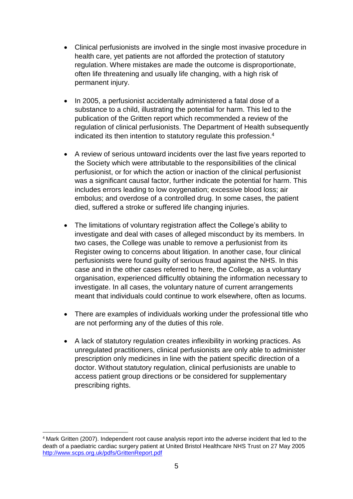- Clinical perfusionists are involved in the single most invasive procedure in health care, yet patients are not afforded the protection of statutory regulation. Where mistakes are made the outcome is disproportionate, often life threatening and usually life changing, with a high risk of permanent injury.
- In 2005, a perfusionist accidentally administered a fatal dose of a substance to a child, illustrating the potential for harm. This led to the publication of the Gritten report which recommended a review of the regulation of clinical perfusionists. The Department of Health subsequently indicated its then intention to statutory regulate this profession. 4
- A review of serious untoward incidents over the last five years reported to the Society which were attributable to the responsibilities of the clinical perfusionist, or for which the action or inaction of the clinical perfusionist was a significant causal factor, further indicate the potential for harm. This includes errors leading to low oxygenation; excessive blood loss; air embolus; and overdose of a controlled drug. In some cases, the patient died, suffered a stroke or suffered life changing injuries.
- The limitations of voluntary registration affect the College's ability to investigate and deal with cases of alleged misconduct by its members. In two cases, the College was unable to remove a perfusionist from its Register owing to concerns about litigation. In another case, four clinical perfusionists were found guilty of serious fraud against the NHS. In this case and in the other cases referred to here, the College, as a voluntary organisation, experienced difficultly obtaining the information necessary to investigate. In all cases, the voluntary nature of current arrangements meant that individuals could continue to work elsewhere, often as locums.
- There are examples of individuals working under the professional title who are not performing any of the duties of this role.
- A lack of statutory regulation creates inflexibility in working practices. As unregulated practitioners, clinical perfusionists are only able to administer prescription only medicines in line with the patient specific direction of a doctor. Without statutory regulation, clinical perfusionists are unable to access patient group directions or be considered for supplementary prescribing rights.

**.** 

<sup>4</sup> Mark Gritten (2007). Independent root cause analysis report into the adverse incident that led to the death of a paediatric cardiac surgery patient at United Bristol Healthcare NHS Trust on 27 May 2005 http://www.scps.org.uk/pdfs/GrittenReport.pdf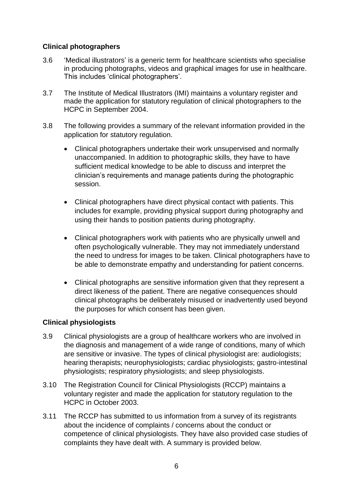# **Clinical photographers**

- 3.6 'Medical illustrators' is a generic term for healthcare scientists who specialise in producing photographs, videos and graphical images for use in healthcare. This includes 'clinical photographers'.
- 3.7 The Institute of Medical Illustrators (IMI) maintains a voluntary register and made the application for statutory regulation of clinical photographers to the HCPC in September 2004.
- 3.8 The following provides a summary of the relevant information provided in the application for statutory regulation.
	- Clinical photographers undertake their work unsupervised and normally unaccompanied. In addition to photographic skills, they have to have sufficient medical knowledge to be able to discuss and interpret the clinician's requirements and manage patients during the photographic session.
	- Clinical photographers have direct physical contact with patients. This includes for example, providing physical support during photography and using their hands to position patients during photography.
	- Clinical photographers work with patients who are physically unwell and often psychologically vulnerable. They may not immediately understand the need to undress for images to be taken. Clinical photographers have to be able to demonstrate empathy and understanding for patient concerns.
	- Clinical photographs are sensitive information given that they represent a direct likeness of the patient. There are negative consequences should clinical photographs be deliberately misused or inadvertently used beyond the purposes for which consent has been given.

# **Clinical physiologists**

- 3.9 Clinical physiologists are a group of healthcare workers who are involved in the diagnosis and management of a wide range of conditions, many of which are sensitive or invasive. The types of clinical physiologist are: audiologists; hearing therapists; neurophysiologists; cardiac physiologists; gastro-intestinal physiologists; respiratory physiologists; and sleep physiologists.
- 3.10 The Registration Council for Clinical Physiologists (RCCP) maintains a voluntary register and made the application for statutory regulation to the HCPC in October 2003.
- 3.11 The RCCP has submitted to us information from a survey of its registrants about the incidence of complaints / concerns about the conduct or competence of clinical physiologists. They have also provided case studies of complaints they have dealt with. A summary is provided below.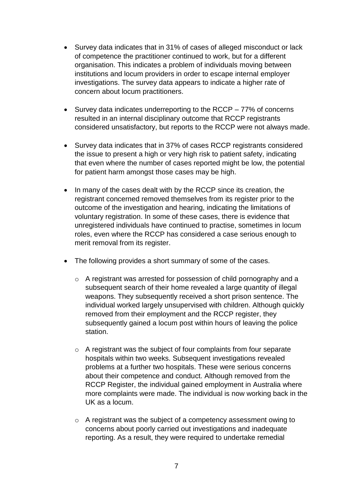- Survey data indicates that in 31% of cases of alleged misconduct or lack of competence the practitioner continued to work, but for a different organisation. This indicates a problem of individuals moving between institutions and locum providers in order to escape internal employer investigations. The survey data appears to indicate a higher rate of concern about locum practitioners.
- $\bullet$  Survey data indicates underreporting to the RCCP 77% of concerns resulted in an internal disciplinary outcome that RCCP registrants considered unsatisfactory, but reports to the RCCP were not always made.
- Survey data indicates that in 37% of cases RCCP registrants considered the issue to present a high or very high risk to patient safety, indicating that even where the number of cases reported might be low, the potential for patient harm amongst those cases may be high.
- In many of the cases dealt with by the RCCP since its creation, the registrant concerned removed themselves from its register prior to the outcome of the investigation and hearing, indicating the limitations of voluntary registration. In some of these cases, there is evidence that unregistered individuals have continued to practise, sometimes in locum roles, even where the RCCP has considered a case serious enough to merit removal from its register.
- The following provides a short summary of some of the cases.
	- o A registrant was arrested for possession of child pornography and a subsequent search of their home revealed a large quantity of illegal weapons. They subsequently received a short prison sentence. The individual worked largely unsupervised with children. Although quickly removed from their employment and the RCCP register, they subsequently gained a locum post within hours of leaving the police station.
	- o A registrant was the subject of four complaints from four separate hospitals within two weeks. Subsequent investigations revealed problems at a further two hospitals. These were serious concerns about their competence and conduct. Although removed from the RCCP Register, the individual gained employment in Australia where more complaints were made. The individual is now working back in the UK as a locum.
	- o A registrant was the subject of a competency assessment owing to concerns about poorly carried out investigations and inadequate reporting. As a result, they were required to undertake remedial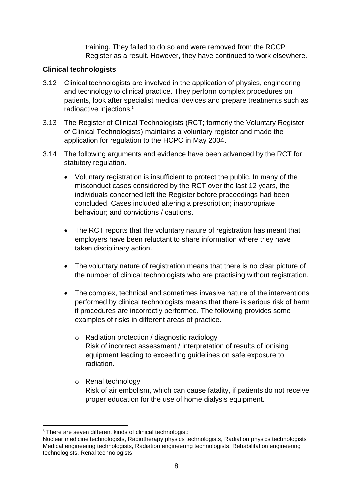training. They failed to do so and were removed from the RCCP Register as a result. However, they have continued to work elsewhere.

## **Clinical technologists**

- 3.12 Clinical technologists are involved in the application of physics, engineering and technology to clinical practice. They perform complex procedures on patients, look after specialist medical devices and prepare treatments such as radioactive injections.<sup>5</sup>
- 3.13 The Register of Clinical Technologists (RCT; formerly the Voluntary Register of Clinical Technologists) maintains a voluntary register and made the application for regulation to the HCPC in May 2004.
- 3.14 The following arguments and evidence have been advanced by the RCT for statutory regulation.
	- Voluntary registration is insufficient to protect the public. In many of the misconduct cases considered by the RCT over the last 12 years, the individuals concerned left the Register before proceedings had been concluded. Cases included altering a prescription; inappropriate behaviour; and convictions / cautions.
	- The RCT reports that the voluntary nature of registration has meant that employers have been reluctant to share information where they have taken disciplinary action.
	- The voluntary nature of registration means that there is no clear picture of the number of clinical technologists who are practising without registration.
	- The complex, technical and sometimes invasive nature of the interventions performed by clinical technologists means that there is serious risk of harm if procedures are incorrectly performed. The following provides some examples of risks in different areas of practice.
		- o Radiation protection / diagnostic radiology Risk of incorrect assessment / interpretation of results of ionising equipment leading to exceeding guidelines on safe exposure to radiation.
		- o Renal technology Risk of air embolism, which can cause fatality, if patients do not receive proper education for the use of home dialysis equipment.

**<sup>.</sup>** <sup>5</sup> There are seven different kinds of clinical technologist:

Nuclear medicine technologists, Radiotherapy physics technologists, Radiation physics technologists Medical engineering technologists, Radiation engineering technologists, Rehabilitation engineering technologists, Renal technologists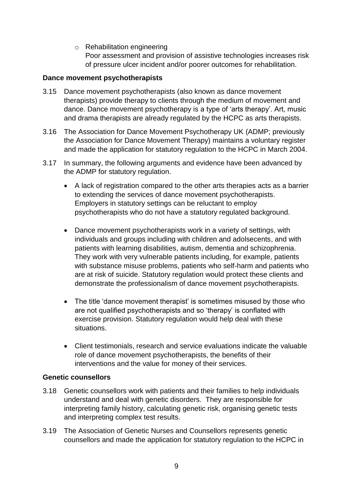o Rehabilitation engineering Poor assessment and provision of assistive technologies increases risk of pressure ulcer incident and/or poorer outcomes for rehabilitation.

#### **Dance movement psychotherapists**

- 3.15 Dance movement psychotherapists (also known as dance movement therapists) provide therapy to clients through the medium of movement and dance. Dance movement psychotherapy is a type of 'arts therapy'. Art, music and drama therapists are already regulated by the HCPC as arts therapists.
- 3.16 The Association for Dance Movement Psychotherapy UK (ADMP; previously the Association for Dance Movement Therapy) maintains a voluntary register and made the application for statutory regulation to the HCPC in March 2004.
- 3.17 In summary, the following arguments and evidence have been advanced by the ADMP for statutory regulation.
	- A lack of registration compared to the other arts therapies acts as a barrier to extending the services of dance movement psychotherapists. Employers in statutory settings can be reluctant to employ psychotherapists who do not have a statutory regulated background.
	- Dance movement psychotherapists work in a variety of settings, with individuals and groups including with children and adolsecents, and with patients with learning disabilities, autism, dementia and schizophrenia. They work with very vulnerable patients including, for example, patients with substance misuse problems, patients who self-harm and patients who are at risk of suicide. Statutory regulation would protect these clients and demonstrate the professionalism of dance movement psychotherapists.
	- The title 'dance movement therapist' is sometimes misused by those who are not qualified psychotherapists and so 'therapy' is conflated with exercise provision. Statutory regulation would help deal with these situations.
	- Client testimonials, research and service evaluations indicate the valuable role of dance movement psychotherapists, the benefits of their interventions and the value for money of their services.

#### **Genetic counsellors**

- 3.18 Genetic counsellors work with patients and their families to help individuals understand and deal with genetic disorders. They are responsible for interpreting family history, calculating genetic risk, organising genetic tests and interpreting complex test results.
- 3.19 The Association of Genetic Nurses and Counsellors represents genetic counsellors and made the application for statutory regulation to the HCPC in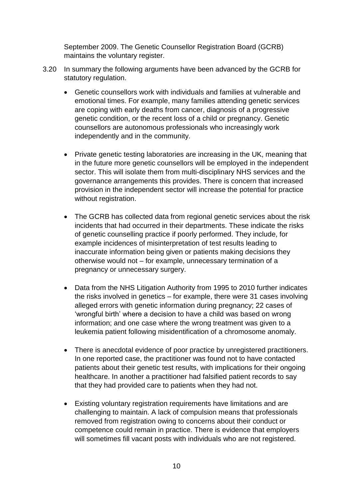September 2009. The Genetic Counsellor Registration Board (GCRB) maintains the voluntary register.

- 3.20 In summary the following arguments have been advanced by the GCRB for statutory regulation.
	- Genetic counsellors work with individuals and families at vulnerable and emotional times. For example, many families attending genetic services are coping with early deaths from cancer, diagnosis of a progressive genetic condition, or the recent loss of a child or pregnancy. Genetic counsellors are autonomous professionals who increasingly work independently and in the community.
	- Private genetic testing laboratories are increasing in the UK, meaning that in the future more genetic counsellors will be employed in the independent sector. This will isolate them from multi-disciplinary NHS services and the governance arrangements this provides. There is concern that increased provision in the independent sector will increase the potential for practice without registration.
	- The GCRB has collected data from regional genetic services about the risk incidents that had occurred in their departments. These indicate the risks of genetic counselling practice if poorly performed. They include, for example incidences of misinterpretation of test results leading to inaccurate information being given or patients making decisions they otherwise would not – for example, unnecessary termination of a pregnancy or unnecessary surgery.
	- Data from the NHS Litigation Authority from 1995 to 2010 further indicates the risks involved in genetics – for example, there were 31 cases involving alleged errors with genetic information during pregnancy; 22 cases of 'wrongful birth' where a decision to have a child was based on wrong information; and one case where the wrong treatment was given to a leukemia patient following misidentification of a chromosome anomaly.
	- There is anecdotal evidence of poor practice by unregistered practitioners. In one reported case, the practitioner was found not to have contacted patients about their genetic test results, with implications for their ongoing healthcare. In another a practitioner had falsified patient records to say that they had provided care to patients when they had not.
	- Existing voluntary registration requirements have limitations and are challenging to maintain. A lack of compulsion means that professionals removed from registration owing to concerns about their conduct or competence could remain in practice. There is evidence that employers will sometimes fill vacant posts with individuals who are not registered.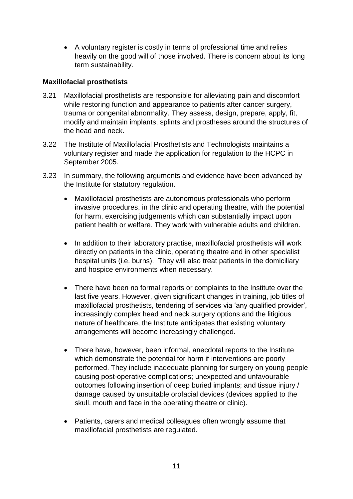A voluntary register is costly in terms of professional time and relies heavily on the good will of those involved. There is concern about its long term sustainability.

## **Maxillofacial prosthetists**

- 3.21 Maxillofacial prosthetists are responsible for alleviating pain and discomfort while restoring function and appearance to patients after cancer surgery, trauma or congenital abnormality. They assess, design, prepare, apply, fit, modify and maintain implants, splints and prostheses around the structures of the head and neck.
- 3.22 The Institute of Maxillofacial Prosthetists and Technologists maintains a voluntary register and made the application for regulation to the HCPC in September 2005.
- 3.23 In summary, the following arguments and evidence have been advanced by the Institute for statutory regulation.
	- Maxillofacial prosthetists are autonomous professionals who perform invasive procedures, in the clinic and operating theatre, with the potential for harm, exercising judgements which can substantially impact upon patient health or welfare. They work with vulnerable adults and children.
	- In addition to their laboratory practise, maxillofacial prosthetists will work directly on patients in the clinic, operating theatre and in other specialist hospital units (i.e. burns). They will also treat patients in the domiciliary and hospice environments when necessary.
	- There have been no formal reports or complaints to the Institute over the last five years. However, given significant changes in training, job titles of maxillofacial prosthetists, tendering of services via 'any qualified provider', increasingly complex head and neck surgery options and the litigious nature of healthcare, the Institute anticipates that existing voluntary arrangements will become increasingly challenged.
	- There have, however, been informal, anecdotal reports to the Institute which demonstrate the potential for harm if interventions are poorly performed. They include inadequate planning for surgery on young people causing post-operative complications; unexpected and unfavourable outcomes following insertion of deep buried implants; and tissue injury / damage caused by unsuitable orofacial devices (devices applied to the skull, mouth and face in the operating theatre or clinic).
	- Patients, carers and medical colleagues often wrongly assume that maxillofacial prosthetists are regulated.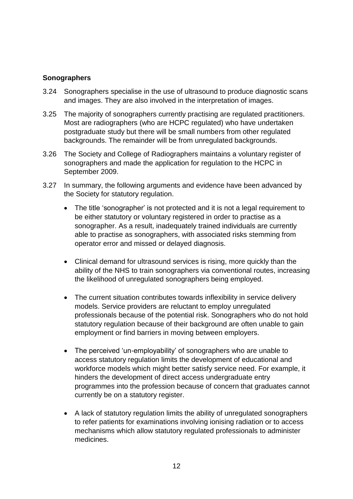# **Sonographers**

- 3.24 Sonographers specialise in the use of ultrasound to produce diagnostic scans and images. They are also involved in the interpretation of images.
- 3.25 The majority of sonographers currently practising are regulated practitioners. Most are radiographers (who are HCPC regulated) who have undertaken postgraduate study but there will be small numbers from other regulated backgrounds. The remainder will be from unregulated backgrounds.
- 3.26 The Society and College of Radiographers maintains a voluntary register of sonographers and made the application for regulation to the HCPC in September 2009.
- 3.27 In summary, the following arguments and evidence have been advanced by the Society for statutory regulation.
	- The title 'sonographer' is not protected and it is not a legal requirement to be either statutory or voluntary registered in order to practise as a sonographer. As a result, inadequately trained individuals are currently able to practise as sonographers, with associated risks stemming from operator error and missed or delayed diagnosis.
	- Clinical demand for ultrasound services is rising, more quickly than the ability of the NHS to train sonographers via conventional routes, increasing the likelihood of unregulated sonographers being employed.
	- The current situation contributes towards inflexibility in service delivery models. Service providers are reluctant to employ unregulated professionals because of the potential risk. Sonographers who do not hold statutory regulation because of their background are often unable to gain employment or find barriers in moving between employers.
	- The perceived 'un-employability' of sonographers who are unable to access statutory regulation limits the development of educational and workforce models which might better satisfy service need. For example, it hinders the development of direct access undergraduate entry programmes into the profession because of concern that graduates cannot currently be on a statutory register.
	- A lack of statutory regulation limits the ability of unregulated sonographers to refer patients for examinations involving ionising radiation or to access mechanisms which allow statutory regulated professionals to administer medicines.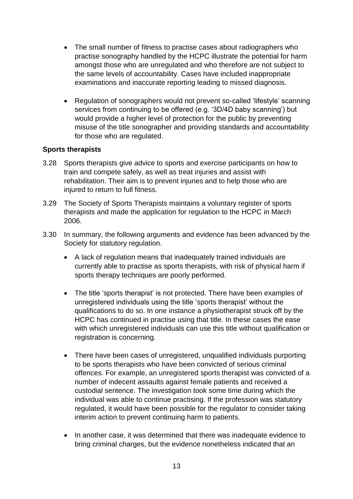- The small number of fitness to practise cases about radiographers who practise sonography handled by the HCPC illustrate the potential for harm amongst those who are unregulated and who therefore are not subject to the same levels of accountability. Cases have included inappropriate examinations and inaccurate reporting leading to missed diagnosis.
- Regulation of sonographers would not prevent so-called 'lifestyle' scanning services from continuing to be offered (e.g. '3D/4D baby scanning') but would provide a higher level of protection for the public by preventing misuse of the title sonographer and providing standards and accountability for those who are regulated.

# **Sports therapists**

- 3.28 Sports therapists give advice to sports and exercise participants on how to train and compete safely, as well as treat injuries and assist with rehabilitation. Their aim is to prevent injuries and to help those who are injured to return to full fitness.
- 3.29 The Society of Sports Therapists maintains a voluntary register of sports therapists and made the application for regulation to the HCPC in March 2006.
- 3.30 In summary, the following arguments and evidence has been advanced by the Society for statutory regulation.
	- A lack of regulation means that inadequately trained individuals are currently able to practise as sports therapists, with risk of physical harm if sports therapy techniques are poorly performed.
	- The title 'sports therapist' is not protected. There have been examples of unregistered individuals using the title 'sports therapist' without the qualifications to do so. In one instance a physiotherapist struck off by the HCPC has continued in practise using that title. In these cases the ease with which unregistered individuals can use this title without qualification or registration is concerning.
	- There have been cases of unregistered, unqualified individuals purporting to be sports therapists who have been convicted of serious criminal offences. For example, an unregistered sports therapist was convicted of a number of indecent assaults against female patients and received a custodial sentence. The investigation took some time during which the individual was able to continue practising. If the profession was statutory regulated, it would have been possible for the regulator to consider taking interim action to prevent continuing harm to patients.
	- In another case, it was determined that there was inadequate evidence to bring criminal charges, but the evidence nonetheless indicated that an